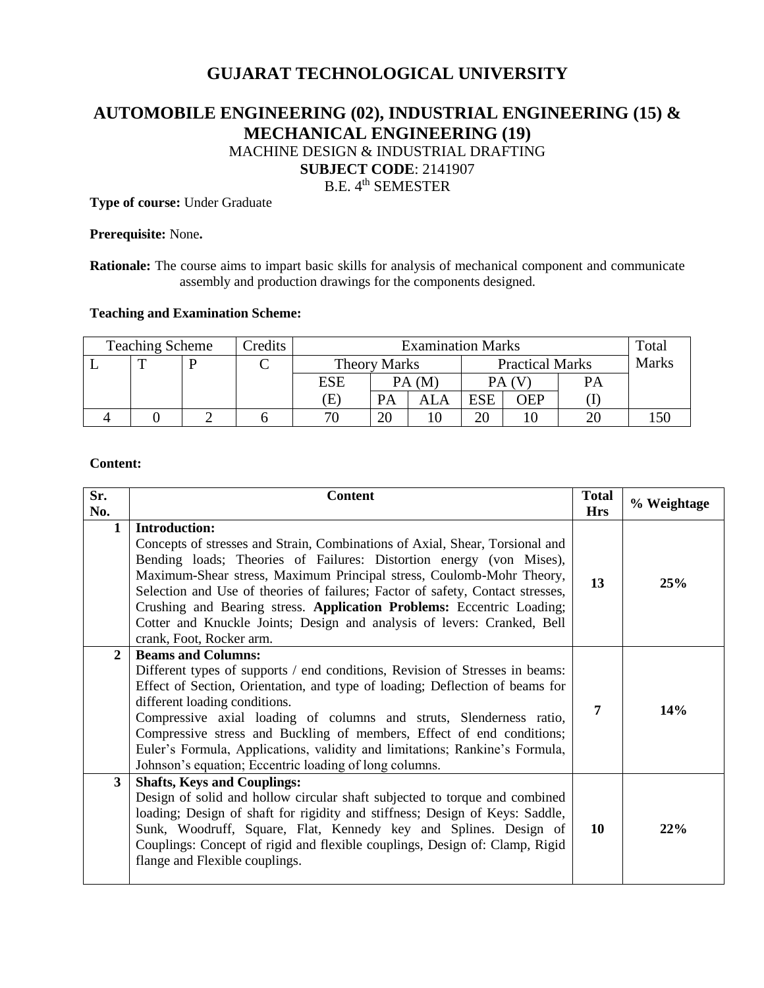# **GUJARAT TECHNOLOGICAL UNIVERSITY**

# **AUTOMOBILE ENGINEERING (02), INDUSTRIAL ENGINEERING (15) & MECHANICAL ENGINEERING (19)** MACHINE DESIGN & INDUSTRIAL DRAFTING **SUBJECT CODE**: 2141907 B.E. 4<sup>th</sup> SEMESTER

**Type of course:** Under Graduate

### **Prerequisite:** None**.**

**Rationale:** The course aims to impart basic skills for analysis of mechanical component and communicate assembly and production drawings for the components designed.

#### **Teaching and Examination Scheme:**

| <b>Teaching Scheme</b> |  |  | Credits | <b>Examination Marks</b> |                                               |       |            |              | Total     |  |
|------------------------|--|--|---------|--------------------------|-----------------------------------------------|-------|------------|--------------|-----------|--|
|                        |  |  |         |                          | <b>Practical Marks</b><br><b>Theory Marks</b> |       |            | <b>Marks</b> |           |  |
|                        |  |  |         | ESE                      |                                               | PA(M) |            |              | <b>PA</b> |  |
|                        |  |  |         | Έ                        |                                               | ALA   | <b>ESE</b> | ЭEP          |           |  |
|                        |  |  |         | 71                       |                                               |       | ററ         |              |           |  |

### **Content:**

| Sr.<br>No.   | <b>Content</b>                                                                                                                                                                                                                                                                                                                                                                                                                                                                                                        |    | % Weightage |
|--------------|-----------------------------------------------------------------------------------------------------------------------------------------------------------------------------------------------------------------------------------------------------------------------------------------------------------------------------------------------------------------------------------------------------------------------------------------------------------------------------------------------------------------------|----|-------------|
| 1            | <b>Introduction:</b><br>Concepts of stresses and Strain, Combinations of Axial, Shear, Torsional and<br>Bending loads; Theories of Failures: Distortion energy (von Mises),<br>Maximum-Shear stress, Maximum Principal stress, Coulomb-Mohr Theory,<br>Selection and Use of theories of failures; Factor of safety, Contact stresses,<br>Crushing and Bearing stress. Application Problems: Eccentric Loading;<br>Cotter and Knuckle Joints; Design and analysis of levers: Cranked, Bell<br>crank, Foot, Rocker arm. | 13 | 25%         |
| $\mathbf{2}$ | <b>Beams and Columns:</b><br>Different types of supports / end conditions, Revision of Stresses in beams:<br>Effect of Section, Orientation, and type of loading; Deflection of beams for<br>different loading conditions.<br>Compressive axial loading of columns and struts, Slenderness ratio,<br>Compressive stress and Buckling of members, Effect of end conditions;<br>Euler's Formula, Applications, validity and limitations; Rankine's Formula,<br>Johnson's equation; Eccentric loading of long columns.   | 7  | 14%         |
| 3            | <b>Shafts, Keys and Couplings:</b><br>Design of solid and hollow circular shaft subjected to torque and combined<br>loading; Design of shaft for rigidity and stiffness; Design of Keys: Saddle,<br>Sunk, Woodruff, Square, Flat, Kennedy key and Splines. Design of<br>Couplings: Concept of rigid and flexible couplings, Design of: Clamp, Rigid<br>flange and Flexible couplings.                                                                                                                                 | 10 | 22%         |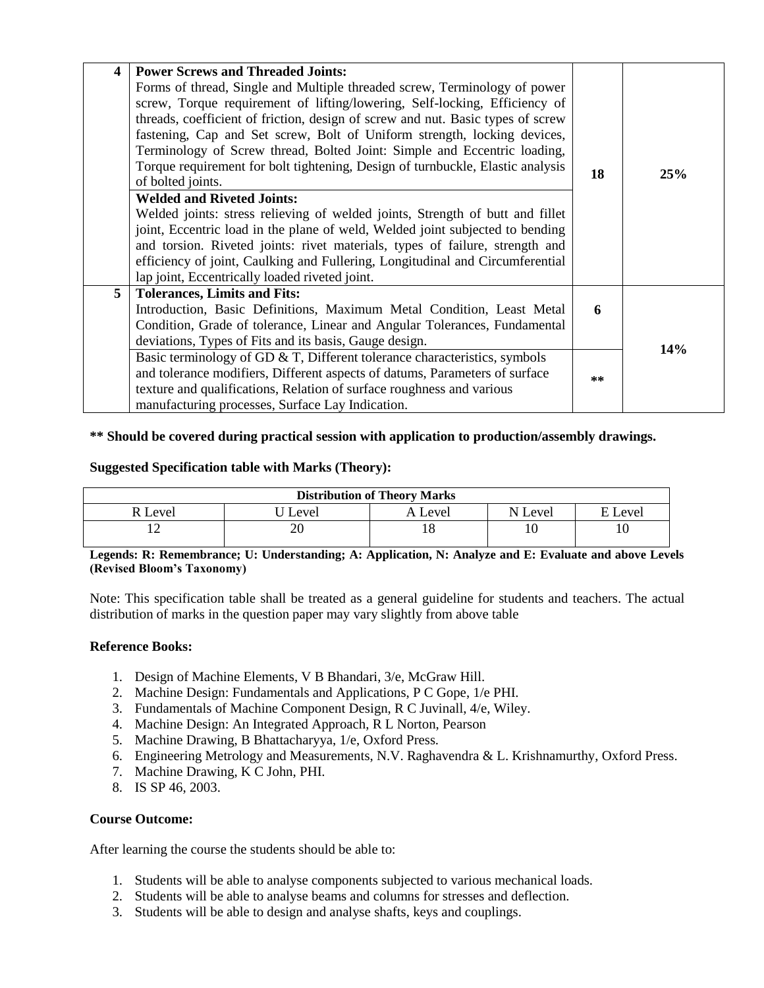| $\overline{\mathbf{4}}$ | <b>Power Screws and Threaded Joints:</b><br>Forms of thread, Single and Multiple threaded screw, Terminology of power<br>screw, Torque requirement of lifting/lowering, Self-locking, Efficiency of<br>threads, coefficient of friction, design of screw and nut. Basic types of screw<br>fastening, Cap and Set screw, Bolt of Uniform strength, locking devices,<br>Terminology of Screw thread, Bolted Joint: Simple and Eccentric loading,<br>Torque requirement for bolt tightening, Design of turnbuckle, Elastic analysis<br>of bolted joints.<br><b>Welded and Riveted Joints:</b><br>Welded joints: stress relieving of welded joints, Strength of butt and fillet<br>joint, Eccentric load in the plane of weld, Welded joint subjected to bending<br>and torsion. Riveted joints: rivet materials, types of failure, strength and<br>efficiency of joint, Caulking and Fullering, Longitudinal and Circumferential<br>lap joint, Eccentrically loaded riveted joint. | 18    | 25% |
|-------------------------|---------------------------------------------------------------------------------------------------------------------------------------------------------------------------------------------------------------------------------------------------------------------------------------------------------------------------------------------------------------------------------------------------------------------------------------------------------------------------------------------------------------------------------------------------------------------------------------------------------------------------------------------------------------------------------------------------------------------------------------------------------------------------------------------------------------------------------------------------------------------------------------------------------------------------------------------------------------------------------|-------|-----|
| 5                       | <b>Tolerances, Limits and Fits:</b><br>Introduction, Basic Definitions, Maximum Metal Condition, Least Metal<br>Condition, Grade of tolerance, Linear and Angular Tolerances, Fundamental<br>deviations, Types of Fits and its basis, Gauge design.                                                                                                                                                                                                                                                                                                                                                                                                                                                                                                                                                                                                                                                                                                                             | 6     | 14% |
|                         | Basic terminology of GD $\&$ T, Different tolerance characteristics, symbols<br>and tolerance modifiers, Different aspects of datums, Parameters of surface<br>texture and qualifications, Relation of surface roughness and various<br>manufacturing processes, Surface Lay Indication.                                                                                                                                                                                                                                                                                                                                                                                                                                                                                                                                                                                                                                                                                        | $* *$ |     |

**\*\* Should be covered during practical session with application to production/assembly drawings.**

# **Suggested Specification table with Marks (Theory):**

| <b>Distribution of Theory Marks</b> |       |           |         |       |  |  |
|-------------------------------------|-------|-----------|---------|-------|--|--|
| R Level                             | Level | A Level   | N Level | Level |  |  |
|                                     |       | - Q<br>10 |         |       |  |  |

**Legends: R: Remembrance; U: Understanding; A: Application, N: Analyze and E: Evaluate and above Levels (Revised Bloom's Taxonomy)**

Note: This specification table shall be treated as a general guideline for students and teachers. The actual distribution of marks in the question paper may vary slightly from above table

## **Reference Books:**

- 1. Design of Machine Elements, V B Bhandari, 3/e, McGraw Hill.
- 2. Machine Design: Fundamentals and Applications, P C Gope, 1/e PHI.
- 3. Fundamentals of Machine Component Design, R C Juvinall, 4/e, Wiley.
- 4. Machine Design: An Integrated Approach, R L Norton, Pearson
- 5. Machine Drawing, B Bhattacharyya, 1/e, Oxford Press.
- 6. Engineering Metrology and Measurements, N.V. Raghavendra & L. Krishnamurthy, Oxford Press.
- 7. Machine Drawing, K C John, PHI.
- 8. IS SP 46, 2003.

## **Course Outcome:**

After learning the course the students should be able to:

- 1. Students will be able to analyse components subjected to various mechanical loads.
- 2. Students will be able to analyse beams and columns for stresses and deflection.
- 3. Students will be able to design and analyse shafts, keys and couplings.